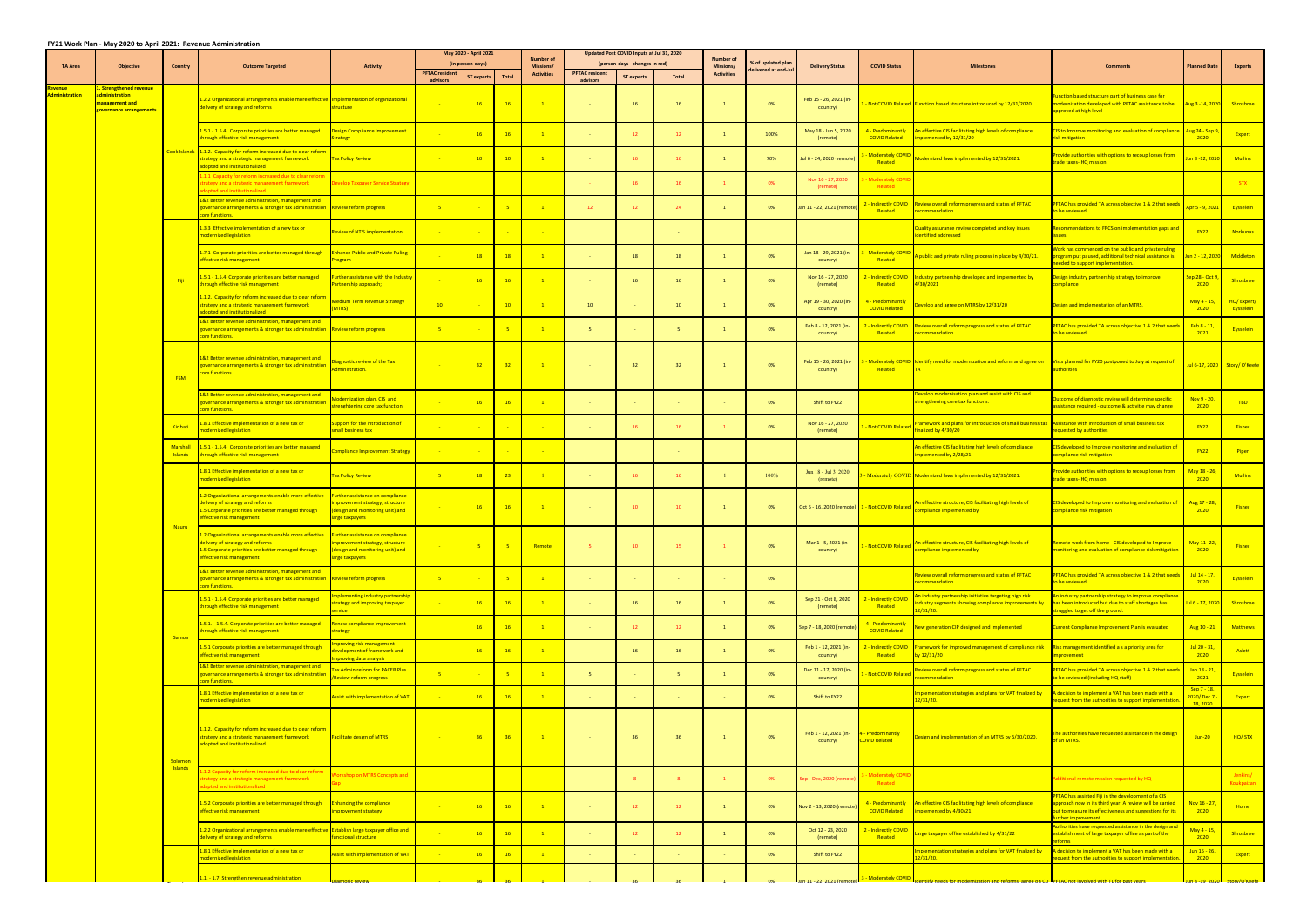## **FY21 Work Plan ‐ May 2020 to April 2021: Revenue Administration**

|                                 |                                                                                                        |                                   |                                                                                                                                                                                                             |                                                                                                                         |                                   |                   |                 |                                      |                                   | May 2020 - April 2021          |             |                                      |                      | Updated Post COVID Inputs at Jul 31, 2020       |                                                |                                                                                                                                           |                                                                                                                                                                                                        |                                           |                              |  |  |  |  |
|---------------------------------|--------------------------------------------------------------------------------------------------------|-----------------------------------|-------------------------------------------------------------------------------------------------------------------------------------------------------------------------------------------------------------|-------------------------------------------------------------------------------------------------------------------------|-----------------------------------|-------------------|-----------------|--------------------------------------|-----------------------------------|--------------------------------|-------------|--------------------------------------|----------------------|-------------------------------------------------|------------------------------------------------|-------------------------------------------------------------------------------------------------------------------------------------------|--------------------------------------------------------------------------------------------------------------------------------------------------------------------------------------------------------|-------------------------------------------|------------------------------|--|--|--|--|
| <b>TA Area</b>                  | <b>Objective</b>                                                                                       | <b>Country</b>                    | <b>Outcome Targeted</b>                                                                                                                                                                                     | <b>Activity</b>                                                                                                         |                                   | (in person-days)  |                 | <b>Number of</b><br><b>Missions/</b> |                                   | (person-days - changes in red) |             | <b>Number of</b><br><b>Missions/</b> | % of updated plar    | <b>Delivery Status</b>                          | <b>COVID Status</b>                            | <b>Milestones</b>                                                                                                                         | <b>Comments</b>                                                                                                                                                                                        | <b>Planned Date</b>                       | <b>Experts</b>               |  |  |  |  |
|                                 |                                                                                                        |                                   |                                                                                                                                                                                                             |                                                                                                                         | <b>PFTAC resident</b><br>advisors | <b>ST experts</b> | Total           | <b>Activities</b>                    | <b>PFTAC resident</b><br>advisors | <b>ST experts</b>              | Total       | <b>Activities</b>                    | delivered at end-Jul |                                                 |                                                |                                                                                                                                           |                                                                                                                                                                                                        |                                           |                              |  |  |  |  |
| evenue<br><b>Administration</b> | <u>. Strengthened revenu</u><br><b>Iministration</b><br>anagement and<br><b>overnance arrangements</b> |                                   | 1.2.2 Organizational arrangements enable more effective Implementation of organizational<br>delivery of strategy and reforms                                                                                | structure                                                                                                               |                                   | 16                | 16              | $\overline{1}$                       | $\sim$ $\sim$                     | 16                             | 16          |                                      | 0%                   | Feb 15 - 26, 2021 (in-<br>country)              |                                                | Not COVID Related Function based structure introduced by 12/31/2020                                                                       | unction based structure part of business case for<br>nodernization developed with PFTAC assistance to be<br>approved at high level                                                                     | Aug 3 - 14, 2020                          | Shrosbree                    |  |  |  |  |
|                                 |                                                                                                        |                                   | 1.5.1 - 1.5.4 Corporate priorities are better managed<br>hrough effective risk management                                                                                                                   | esign Compliance Improvement<br>trategy                                                                                 |                                   | 16                | <b>16</b>       | $\overline{1}$                       |                                   | 12                             | 12          |                                      | 100%                 | May 18 - Jun 5, 2020<br>(remote)                | 1 - Predominantly<br><b>COVID Related</b>      | n effective CIS facilitating high levels of compliance<br>mplemented by 12/31/20                                                          | IS to Improve monitoring and evaluation of compliand<br>isk mitigation                                                                                                                                 | Aug 24 - Sep<br>2020                      | Expert                       |  |  |  |  |
|                                 |                                                                                                        | Cook Islands                      | 1.1.2. Capacity for reform increased due to clear reform<br>trategy and a strategic management framework<br>dopted and institutionalized                                                                    | <b>Tax Policy Review</b>                                                                                                |                                   | 10                | 10              |                                      |                                   | 16                             | 16          |                                      | 70%                  | lul 6 - 24, 2020 (remote                        | Moderately COVID<br>Related                    | Modernized laws implemented by 12/31/2021.                                                                                                | ovide authorities with options to recoup losses from<br>rade taxes- HQ mission                                                                                                                         | <mark>ın 8 -12, 202</mark>                | <b>Mullins</b>               |  |  |  |  |
|                                 |                                                                                                        |                                   | 1.1.1 Capacity for reform increased due to clear refor<br>trategy and a strategic management framework<br>pted and institutionalized                                                                        | Develop Taxpayer Service Strategy                                                                                       |                                   |                   |                 |                                      |                                   | 16                             | 16          |                                      | 0%                   | Nov 16 - 27, 2020<br>(remote)                   | <b>Moderately COVI</b><br>Related              |                                                                                                                                           |                                                                                                                                                                                                        |                                           | <b>STX</b>                   |  |  |  |  |
|                                 |                                                                                                        |                                   | 82 Better revenue administration, management and<br>overnance arrangements & stronger tax administration Review reform progress<br>ore functions.                                                           |                                                                                                                         | $-5$                              |                   |                 |                                      | <sup>12</sup>                     | 12                             | 24          |                                      | 0%                   | lan 11 - 22, 2021 (remote)                      | - Indirectly COVID<br>Related                  | Review overall reform progress and status of PFTAC<br>ecommendation                                                                       | PFTAC has provided TA across objective 1 & 2 that nee<br>o be reviewed                                                                                                                                 | pr 5 - 9, 202:                            | Eysselein                    |  |  |  |  |
|                                 |                                                                                                        |                                   | .3.3 Effective implementation of a new tax or<br>nodernized legislation                                                                                                                                     | Review of NTIS implementation                                                                                           |                                   |                   |                 |                                      |                                   |                                |             |                                      |                      |                                                 |                                                | uality assurance review completed and key issues<br>dentified addressed                                                                   | Recommendations to FRCS on implementation gaps and<br>ssues                                                                                                                                            | <b>FY22</b>                               | <b>Norkunas</b>              |  |  |  |  |
|                                 |                                                                                                        |                                   | 1.7.1 Corporate priorities are better managed through<br><b>effective risk management</b>                                                                                                                   | <b>Enhance Public and Private Ruling</b><br>rogram                                                                      |                                   | <b>18</b>         | <b>18</b>       | $\overline{1}$                       |                                   | 18                             | 18          |                                      | 0%                   | Jan 18 - 29, 2021 (in-<br>country)              | Moderately COVID<br>Related                    | A public and private ruling process in place by 4/30/21.                                                                                  | Vork has commenced on the public and private ruling<br>program put paused, additional technical assistance is<br>eeded to support implementation.                                                      | Jun 2 - 12, 2020                          | Middleton                    |  |  |  |  |
|                                 |                                                                                                        | - Fiji                            | 1.5.1 - 1.5.4 Corporate priorities are better managed<br>hrough effective risk management                                                                                                                   | urther assistance with the Industr<br>artnership approach;                                                              |                                   | 16                | <b>16</b>       |                                      |                                   | 16                             | 16          |                                      | 0%                   | Nov 16 - 27, 2020<br>(remote)                   | Indirectly COVID<br>Related                    | ndustry partnership developed and implemented by<br>/30/2021                                                                              | Design industry partnership strategy to improve<br>ompliance                                                                                                                                           | <mark>ep 28 - Oct 9</mark><br>2020        | Shrosbree                    |  |  |  |  |
|                                 |                                                                                                        |                                   | 1.1.2. Capacity for reform increased due to clear reform<br>trategy and a strategic management framework<br>dopted and institutionalized                                                                    | <b>Medium Term Revenue Strategy</b><br>MTRS)                                                                            | 10 <sup>°</sup>                   |                   | 10              |                                      | 10                                |                                | 10          |                                      | 0%                   | Apr 19 - 30, 2020 (in-<br>country)              | <b>- Predominantly</b><br><b>COVID Related</b> | Develop and agree on MTRS by 12/31/20                                                                                                     | Design and implementation of an MTRS.                                                                                                                                                                  | May 4 - 15,<br>2020                       | HQ/Expert/<br>Eysselein      |  |  |  |  |
|                                 |                                                                                                        |                                   | 82 Better revenue administration, management and<br>overnance arrangements & stronger tax administration Review reform progress<br>ore functions.                                                           |                                                                                                                         | $-5$                              |                   |                 |                                      | - 5                               |                                | -5          |                                      | 0%                   | Feb 8 - 12, 2021 (in-<br>country)               | - Indirectly COVID<br>Related                  | Review overall reform progress and status of PFTAC<br>recommendation                                                                      | PFTAC has provided TA across objective 1 & 2 that need<br>o be reviewed                                                                                                                                | $Feb 8 - 11,$<br>2021                     | Eysselein                    |  |  |  |  |
|                                 |                                                                                                        | <b>FSM</b>                        | 1&2 Better revenue administration, management and<br>overnance arrangements & stronger tax administration<br><mark>core functions.</mark>                                                                   | agnostic review of the Tax<br>ninistration.                                                                             |                                   | 32                | 32              | $\overline{1}$                       |                                   | 32                             | 32          |                                      | 0%                   | Feb 15 - 26, 2021 (in-<br>country)              | Related                                        | - Moderately COVID Identify need for modernization and reform and agree on Vists planned for FY20 postponed to July at request of         | uthorities                                                                                                                                                                                             |                                           | Jul 6-17, 2020 Story/O'Keefe |  |  |  |  |
|                                 |                                                                                                        |                                   | <b>L&amp;2 Better revenue administration, management and</b><br>overnance arrangements & stronger tax administratior<br>ore functions.                                                                      | odernization plan, CIS and<br>renghtening core tax function                                                             |                                   | 16                | <b>16</b>       | $\mathbf{1}$                         |                                   | <b>Contract</b>                |             |                                      | 0%                   | Shift to FY22                                   |                                                | evelop modernisation plan and assist with CIS and<br>trengthening core tax functions.                                                     | utcome of diagnostic review will determine specific<br>ssistance required - outcome & activitie may change                                                                                             | Nov $9 - 20$ ,<br>2020                    | <b>TBD</b>                   |  |  |  |  |
|                                 |                                                                                                        | Kiribati                          | 1.8.1 Effective implementation of a new tax or<br>odernized legislation                                                                                                                                     | upport for the introduction of<br>mall business tax                                                                     |                                   |                   |                 |                                      |                                   | 16                             | 16          |                                      | 0%                   | Nov 16 - 27, 2020<br>(remote)                   | Not COVID Related                              | Framework and plans for introduction of small business tax Assistance with introduction of small business tax<br>inalized by 4/30/20      | equested by authorities                                                                                                                                                                                | <b>FY22</b>                               | <b>Fisher</b>                |  |  |  |  |
|                                 |                                                                                                        | <b>Marshall</b><br><b>Islands</b> | 1.5.1 - 1.5.4 Corporate priorities are better managed<br>through effective risk management                                                                                                                  | ompliance Improvement Strategy                                                                                          |                                   |                   |                 |                                      |                                   |                                |             |                                      |                      |                                                 |                                                | In effective CIS facilitating high levels of compliance<br>mplemented by 2/28/21                                                          | CIS developed to Improve monitoring and evaluation of<br>compliance risk mitigation                                                                                                                    | <b>FY22</b>                               | Piper                        |  |  |  |  |
|                                 |                                                                                                        |                                   | 1.8.1 Effective implementation of a new tax or<br>modernized legislation                                                                                                                                    | <b>Tax Policy Review</b>                                                                                                | $-5$                              | <b>18</b>         | 23              |                                      |                                   | <b>16</b>                      | 16          |                                      | 100%                 | Jun 18 - Jul 3, 2020<br>(remote)                |                                                | Moderately COVID Modernized laws implemented by 12/31/2021.                                                                               | rovide authorities with options to recoup losses from<br>rade taxes- HQ mission                                                                                                                        | May 18 - 26<br>2020                       | <b>Mullins</b>               |  |  |  |  |
|                                 |                                                                                                        | Nauru                             | 1.2 Organizational arrangements enable more effective<br>lelivery of strategy and reforms<br>.5 Corporate priorities are better managed through<br>effective risk management                                | urther assistance on compliance<br>nprovement strategy, structure<br>design and monitoring unit) and<br>large taxpayers |                                   | 16                | 16              | $\mathbf{1}$                         | n a                               | 10                             | $10-10$     |                                      | 0%                   | Oct 5 - 16, 2020 (remote) 1 - Not COVID Related |                                                | <u>n effective structure, CIS facilitating high levels of</u><br>ompliance implemented by                                                 | CIS developed to Improve monitoring and evaluation of $\blacksquare$ Aug 17 - 28,<br>ompliance risk mitigation                                                                                         | 2020                                      | Fisher                       |  |  |  |  |
|                                 |                                                                                                        |                                   | 1.2 Organizational arrangements enable more effective Further assistance on compliance<br>livery of strategy and reforms<br>.5 Corporate priorities are better managed through<br>effective risk management | nprovement strategy, structure<br>design and monitoring unit) and<br>large taxpayers                                    |                                   |                   |                 | Remote                               |                                   | 10                             | 15          |                                      | 0%                   | Mar 1 - 5, 2021 (in-<br>country)                | Not COVID Related                              | An effective structure, CIS facilitating high levels of<br>compliance implemented by                                                      | <u>mote work from home - CIS developed to Improve</u><br>nonitoring and evaluation of compliance risk mitigation                                                                                       | May 11-22<br>2020                         | Fisher                       |  |  |  |  |
|                                 |                                                                                                        |                                   | 82 Better revenue administration, management and<br>overnance arrangements & stronger tax administration Review reform progress<br>ore functions.                                                           |                                                                                                                         | $-5$                              |                   | $-5$            | $\mathbf{1}$                         | <b>College</b>                    | <b>College</b>                 | <b>Card</b> |                                      | 0%                   |                                                 |                                                | eview overall reform progress and status of PFTAC<br>ecommendation                                                                        | PFTAC has provided TA across objective 1 & 2 that need:<br>to be reviewed                                                                                                                              | Jul 14 - 17,<br>2020                      | Eysselein                    |  |  |  |  |
|                                 |                                                                                                        |                                   | 1.5.1 - 1.5.4 Corporate priorities are better managed<br>through effective risk management                                                                                                                  | <mark>plementing industry partnership</mark><br>trategy and improving taxpayer<br>ervice                                |                                   | <b>16</b>         | <b>16</b>       | $\mathbf{1}$                         |                                   | 16                             | 16          |                                      | 0%                   | Sep 21 - Oct 8, 2020<br>(remote)                | - Indirectly COVID<br>Related                  | In industry partnership initiative targeting high risk<br>dustry segments showing compliance improvements by<br>2/31/20.                  | An industry partnership strategy to improve compliance<br>has been introduced but due to staff shortages has<br>struggled to get off the ground.                                                       | <mark>Jul 6 - 17, 202</mark>              | Shrosbree                    |  |  |  |  |
|                                 |                                                                                                        | Samoa                             | 1.5.1. - 1.5.4. Corporate priorities are better managed<br>hrough effective risk management                                                                                                                 | Renew compliance improvement<br>strategy                                                                                |                                   | 16                | <b>16</b>       | $\mathbf{1}$                         |                                   | 12                             | 12          |                                      | 0%                   | Sep 7 - 18, 2020 (remote)                       | 1 - Predominantly<br><b>COVID Related</b>      | New generation CIP designed and implemented                                                                                               | <b>Current Compliance Improvement Plan is evaluated</b>                                                                                                                                                | Aug 10 - 21                               | <b>Matthews</b>              |  |  |  |  |
|                                 |                                                                                                        |                                   | 1.5.1 Corporate priorities are better managed through<br>effective risk management<br>82 Better revenue administration, management and                                                                      | mproving risk management-<br>velopment of framework and<br>roving data analysis                                         |                                   | <b>16</b>         | <b>16</b>       | $\overline{1}$                       | <b>Card</b>                       | 16                             | 16          |                                      | 0%                   | Feb 1 - 12, 2021 (in-<br>country)               | Related                                        | - Indirectly COVID Framework for improved management of compliance risk Risk management identified a s a priority area for<br>by 12/31/20 | mprovement                                                                                                                                                                                             | Jul 20 - 31,<br>2020                      | Aslett                       |  |  |  |  |
|                                 |                                                                                                        |                                   | overnance arrangements & stronger tax administration<br>ore functions.                                                                                                                                      | x Admin reform for PACER Plus<br>Review reform progress                                                                 | $-5$                              |                   |                 | $\overline{1}$                       | - 5 -                             | <b>Card</b>                    | -5.         |                                      | 0%                   | Dec 11 - 17, 2020 (in-<br>country)              | Not COVID Related                              | view overall reform progress and status of PFTAC<br>ecommendation                                                                         | PFTAC has provided TA across objective 1 & 2 that need:<br>to be reviewed (including HQ staff)                                                                                                         | Jan 18 - 21,<br>2021<br>Sep 7 - 18,       | Eysselein                    |  |  |  |  |
|                                 |                                                                                                        |                                   | .8.1 Effective implementation of a new tax or<br>nodernized legislation                                                                                                                                     | <b>Assist with implementation of VAT</b>                                                                                |                                   | <b>16</b>         | <b>16</b>       | $\overline{1}$                       |                                   | <b>Card</b>                    |             |                                      | 0%                   | Shift to FY22                                   |                                                | mplementation strategies and plans for VAT finalized by<br>2/31/20.                                                                       | A decision to implement a VAT has been made with a<br>equest from the authorities to support implementation                                                                                            | 2020/Dec 7<br>18.2020                     | Expert                       |  |  |  |  |
|                                 |                                                                                                        | Solomor                           | 1.1.2. Capacity for reform increased due to clear reform<br>trategy and a strategic management framework<br>adopted and institutionalized                                                                   | <b>Facilitate design of MTRS</b>                                                                                        |                                   | $-36$             | 36 <sup>2</sup> | $\blacksquare$                       | $\sim 100$                        | 36                             | 36          |                                      | 0%                   | Feb 1 - 12, 2021 (in-<br>country)               | <b>- Predominantly</b><br><b>COVID Related</b> | esign and implementation of an MTRS by 6/30/2020.                                                                                         | The authorities have requested assistance in the design<br>of an MTRS.                                                                                                                                 | $Jun-20$                                  | HQ/STX                       |  |  |  |  |
|                                 | <b>Islands</b>                                                                                         |                                   | 1.2 Capacity for reform increased due to clear refor<br>trategy and a strategic management framework<br>dapted and institutionalized                                                                        | rkshop on MTRS Concepts and                                                                                             |                                   |                   |                 |                                      |                                   | 8 <sup>2</sup>                 | -8          |                                      | 0%                   | iep - Dec, 2020 (remot                          | <b>Moderately COV</b><br>Related               |                                                                                                                                           | dditional remote mission requested by HQ                                                                                                                                                               |                                           | Jenkins/<br>Koukpaizan       |  |  |  |  |
|                                 |                                                                                                        |                                   | 1.5.2 Corporate priorities are better managed through<br>effective risk management                                                                                                                          | <b>Enhancing the compliance</b><br>nprovement strategy                                                                  | <b>College</b>                    | 16                | <b>16</b>       | $\overline{1}$                       | <b>Collection</b>                 | <b>12</b>                      | 12          |                                      | 0%                   | Nov 2 - 13, 2020 (remote)                       | <b>COVID Related</b>                           | 4 - Predominantly An effective CIS facilitating high levels of compliance<br>mplemented by 4/30/21.                                       | <b>FTAC has assisted Fiji in the development of a CIS</b><br>pproach now in its third year. A review will be carried<br>out to measure its effectiveness and suggestions for its<br>urther improvement | Nov 16 - 27<br>2020                       | Home                         |  |  |  |  |
|                                 |                                                                                                        |                                   | 1.2.2 Organizational arrangements enable more effective <b>Establish large taxpayer office and</b><br>elivery of strategy and reforms                                                                       | <b>Inctional structure</b>                                                                                              |                                   | 16                | <b>16</b>       | $\overline{1}$                       |                                   | 12                             | 12          |                                      | 0%                   | Oct 12 - 23, 2020<br>(remote)                   | - Indirectly COVID<br>Related                  | Large taxpayer office established by 4/31/22                                                                                              | uthorities have requested assistance in the design and<br>establishment of large taxpayer office as part of the<br><b><i><u>aforms</u></i></b>                                                         | May 4 - 15,<br>2020                       | Shrosbree                    |  |  |  |  |
|                                 |                                                                                                        |                                   | 1.8.1 Effective implementation of a new tax or<br>nodernized legislation                                                                                                                                    | ssist with implementation of VAT                                                                                        |                                   | 16                | <b>16</b>       | $\mathbf{1}$                         |                                   |                                |             |                                      | 0%                   | Shift to FY22                                   |                                                | mplementation strategies and plans for VAT finalized by<br>2/31/20.                                                                       | A decision to implement a VAT has been made with a<br>equest from the authorities to support implementation                                                                                            | Jun 15 - 26,<br>2020                      | Expert                       |  |  |  |  |
|                                 |                                                                                                        |                                   | 1.1. - 1.7. Strengthen revenue administration                                                                                                                                                               |                                                                                                                         |                                   |                   |                 |                                      |                                   |                                |             |                                      |                      | lan 11 - 22 2021 (remote)                       | - Moderately COVID                             | Identify needs for modernization and reforms, agree on CD <b>IDETAC</b> not involved with TL for nast years                               |                                                                                                                                                                                                        | $\frac{1}{2}$ lun 8-19-2020 Story/O'Keefe |                              |  |  |  |  |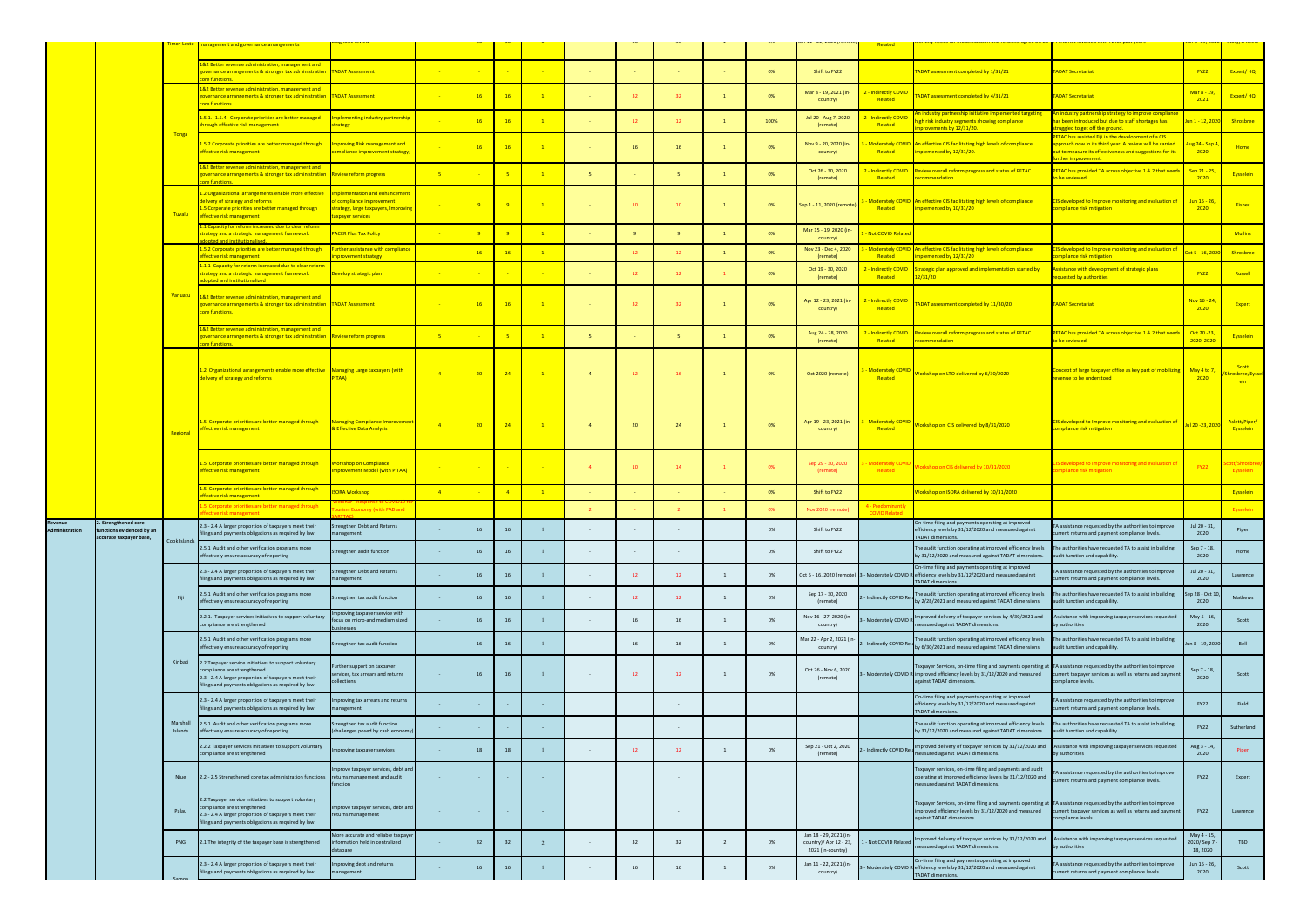|         |                                                                   |                     | management and governance arrangements                                                                                                                                                               |                                                                                                                                             |                |                 |                |                          |                |      |                 |      | $1 + 1 - 22$ , $20 + 11$                                              | Related                                    |                                                                                                                                                                                                                               |                                                                                                                                                                                                               |                                       |                                            |
|---------|-------------------------------------------------------------------|---------------------|------------------------------------------------------------------------------------------------------------------------------------------------------------------------------------------------------|---------------------------------------------------------------------------------------------------------------------------------------------|----------------|-----------------|----------------|--------------------------|----------------|------|-----------------|------|-----------------------------------------------------------------------|--------------------------------------------|-------------------------------------------------------------------------------------------------------------------------------------------------------------------------------------------------------------------------------|---------------------------------------------------------------------------------------------------------------------------------------------------------------------------------------------------------------|---------------------------------------|--------------------------------------------|
|         |                                                                   |                     | L&2 Better revenue administration, management and<br>governance arrangements & stronger tax administration TADAT Assessment                                                                          |                                                                                                                                             |                |                 |                |                          |                |      |                 | 0%   | Shift to FY22                                                         |                                            | ADAT assessment completed by 1/31/21                                                                                                                                                                                          | <b>TADAT Secretariat</b>                                                                                                                                                                                      | <b>FY22</b>                           | Expert/HQ                                  |
|         |                                                                   |                     | <b>Ore functions</b><br>L&2 Better revenue administration, management and<br>vernance arrangements & stronger tax administration TADAT Assessment                                                    |                                                                                                                                             |                | 16              | <b>16</b>      |                          |                | 32   | 32 <sup>2</sup> | 0%   | Mar 8 - 19, 2021 (in-<br>country)                                     | <mark>- Indirectly COVID</mark><br>Related | ADAT assessment completed by 4/31/21                                                                                                                                                                                          | <b>TADAT Secretariat</b>                                                                                                                                                                                      | Mar 8 - 19,<br>2021                   | Expert/HQ                                  |
|         |                                                                   |                     | ore functions.<br>1.5.1.-1.5.4. Corporate priorities are better managed<br>hrough effective risk management                                                                                          | nplementing industry partnership<br>trategy                                                                                                 |                | <b>16</b>       | <b>16</b>      | $\overline{1}$           |                | 12   | 12              | 100% | Jul 20 - Aug 7, 2020<br>(remote)                                      | - Indirectly COVID<br>Related              | n industry partnership initiative implemented targeting<br>high risk industry segments showing compliance                                                                                                                     | An industry partnership strategy to improve compliance<br>has been introduced but due to staff shortages has                                                                                                  | Jun 1 - 12, 2020                      | Shrosbree                                  |
|         |                                                                   | Tonga               | 1.5.2 Corporate priorities are better managed through<br>effective risk management                                                                                                                   | <b>Improving Risk management and</b><br>compliance improvement strategy;                                                                    |                | <b>16</b>       | <b>16</b>      | $\overline{1}$           |                | 16   | 16              | 0%   | Nov 9 - 20, 2020 (in-<br>country)                                     | Related                                    | provements by 12/31/20.<br>Moderately COVID An effective CIS facilitating high levels of compliance<br>implemented by 12/31/20.                                                                                               | ruggled to get off the ground.<br>PFTAC has assisted Fiji in the development of a CIS<br>approach now in its third year. A review will be carried<br>out to measure its effectiveness and suggestions for its | <mark>ug 24 - Sep</mark> 4<br>2020    | Home                                       |
|         |                                                                   |                     | 1&2 Better revenue administration, management and<br>overnance arrangements & stronger tax administration Review reform progress                                                                     |                                                                                                                                             | $-5$           |                 |                | $\overline{1}$           | -5.            |      | -5.             | 0%   | Oct 26 - 30, 2020<br>(remote)                                         | - Indirectly COVID<br>Related              | Review overall reform progress and status of PFTAC<br>ecommendation                                                                                                                                                           | further improvement.<br>PFTAC has provided TA across objective 1 & 2 that needs<br>to be reviewed                                                                                                             | Sep 21 - 25<br>2020                   | <b>Eysselein</b>                           |
|         |                                                                   | Tuvalu              | <b>The functions</b><br>1.2 Organizational arrangements enable more effective<br>lelivery of strategy and reforms<br>.5 Corporate priorities are better managed through<br>effective risk management | <b>Implementation and enhancement</b><br>of compliance improvement<br><mark>strategy, large taxpayers, Improving</mark><br>axpayer services |                | - 9 -           |                | $\blacksquare$           |                | 10   | 10              | 0%   | Sep 1 - 11, 2020 (remote)                                             | Related                                    | Moderately COVID An effective CIS facilitating high levels of compliance<br>implemented by 10/31/20                                                                                                                           | CIS developed to Improve monitoring and evaluation of<br>compliance risk mitigation                                                                                                                           | Jun 15 - 26,<br>2020                  | <b>Fisher</b>                              |
|         |                                                                   |                     | 1 Capacity for reform increased due to clear reform.<br>trategy and a strategic management framework                                                                                                 | <b>PACER Plus Tax Policy</b>                                                                                                                |                | $-9$            |                | $\mathbf{1}$             |                | $-9$ | -9              | 0%   | Mar 15 - 19, 2020 (in-                                                | Not COVID Relate                           |                                                                                                                                                                                                                               |                                                                                                                                                                                                               |                                       | <b>Mullins</b>                             |
|         |                                                                   |                     | 1.5.2 Corporate priorities are better managed through<br><b>effective risk management</b>                                                                                                            | Further assistance with compliance<br>nprovement strategy                                                                                   |                | <b>16</b>       | <b>16</b>      |                          |                | 12   | $12-12$         | 0%   | country)<br>Nov 23 - Dec 4, 2020<br>(remote)                          | Related                                    | - Moderately COVID An effective CIS facilitating high levels of compliance<br>implemented by 12/31/20                                                                                                                         | CIS developed to Improve monitoring and evaluation of<br>compliance risk mitigation                                                                                                                           | lct 5 - 16, 202                       | Shrosbree                                  |
|         |                                                                   |                     | .1.1 Capacity for reform increased due to clear reform<br>strategy and a strategic management framework<br>lopted and institutionalized                                                              | Develop strategic plan                                                                                                                      |                |                 |                |                          |                | 12   | 12              | 0%   | Oct 19 - 30, 2020<br>(remote)                                         | Indirectly COVID<br>Related                | Strategic plan approved and implementation started by<br>12/31/20                                                                                                                                                             | Assistance with development of strategic plans<br>equested by authorities                                                                                                                                     | <b>FY22</b>                           | Russell                                    |
|         |                                                                   | Vanuatu             | 1&2 Better revenue administration, management and<br>overnance arrangements & stronger tax administration TADAT Assessment<br>core functions.                                                        |                                                                                                                                             | 2014           | 16              | <b>16</b>      | $\overline{1}$           | <b>Card</b>    | 32   | 32              | 0%   | Apr 12 - 23, 2021 (in-<br>country)                                    | - Indirectly COVID<br>Related              | ADAT assessment completed by 11/30/20                                                                                                                                                                                         | <b>TADAT Secretariat</b>                                                                                                                                                                                      | Nov 16 - 24<br>2020                   | Expert                                     |
|         |                                                                   |                     | &2 Better revenue administration, management and<br>overnance arrangements & stronger tax administration Review reform progress<br>ore functions.                                                    |                                                                                                                                             | $-5$           |                 |                | $\overline{1}$           |                |      | -5.             | 0%   | Aug 24 - 28, 2020<br>(remote)                                         | - Indirectly COVID<br>Related              | eview overall reform progress and status of PFTAC<br>commendation                                                                                                                                                             | PFTAC has provided TA across objective 1 & 2 that need<br>to be reviewed                                                                                                                                      | Oct 20 - 23,<br>2020, 2020            | Eysselein                                  |
|         |                                                                   |                     | L.2 Organizational arrangements enable more effective Managing Large taxpayers (with<br>delivery of strategy and reforms                                                                             | PITAA)                                                                                                                                      | $\overline{4}$ | 20              | 24             | $\blacksquare$           | $\overline{4}$ | 12   | 16              | 0%   | Oct 2020 (remote)                                                     | <b>Moderately COVID</b><br>Related         | Workshop on LTO delivered by 6/30/2020                                                                                                                                                                                        | Concept of large taxpayer office as key part of mobilizing May 4 to 7,<br>revenue to be understood                                                                                                            | 2020                                  | Scott<br>hrosbree/Eyssel<br><b>ein</b> and |
|         |                                                                   | Regional            | .5 Corporate priorities are better managed through<br>effective risk management                                                                                                                      | <b>Managing Compliance Improvement</b><br><b>Effective Data Analysis</b>                                                                    | $-4$           | 20 <sup>°</sup> | 24             | $\blacksquare$           | $\overline{4}$ | 20   | 24              | 0%   | Apr 19 - 23, 2021 (in-<br>country)                                    | - Moderately COVID<br>Related              | Workshop on CIS delivered by 8/31/2020                                                                                                                                                                                        | IS developed to Improve monitoring and evaluation of<br>ompliance risk mitigation                                                                                                                             | ul 20 -23, 202                        | Aslett/Piper/<br>Eysselein                 |
|         |                                                                   |                     | 1.5 Corporate priorities are better managed through<br>effective risk management                                                                                                                     | <b>Workshop on Compliance</b><br>mprovement Model (with PITAA)                                                                              |                | $\sim 10^{-10}$ |                | <b>Contract Contract</b> |                | 10   | 14              | 0%   | Sep 29 - 30, 2020<br>(remote)                                         | <b>Moderately COVID</b><br>Related         | Vorkshop on CIS delivered by 10/31/2020                                                                                                                                                                                       | CIS developed to Improve monitoring and evaluation of<br>ompliance risk mitigation                                                                                                                            | <b>FY22</b>                           | ott/Shrc<br>Eysselein                      |
|         |                                                                   |                     | .5 Corporate priorities are better managed through<br>fective risk management                                                                                                                        | <b>SORA Workshop</b>                                                                                                                        | $-4$           |                 | $\overline{4}$ | $\overline{1}$           |                |      |                 | 0%   | Shift to FY22                                                         |                                            | Vorkshop on ISORA delivered by 10/31/2020                                                                                                                                                                                     |                                                                                                                                                                                                               |                                       | Eysselein                                  |
|         |                                                                   |                     | L.5 Corporate priorities are better managed through<br>fective risk management                                                                                                                       | <b>urism Economy (with FAD and</b>                                                                                                          |                |                 |                |                          |                |      |                 | 0%   | Nov 2020 (remote                                                      | l - Predominanth<br><b>COVID Related</b>   |                                                                                                                                                                                                                               |                                                                                                                                                                                                               |                                       | Eysselein                                  |
| ₹evenu∈ | 2. Strengthened core<br>evidenced by a<br>accurate taxpayer base, | Cook Islands        | 2.3 - 2.4 A larger proportion of taxpayers meet their<br>ings and payments obligations as required by law                                                                                            | Strengthen Debt and Returns<br>nanagement                                                                                                   |                | 16 <sup>1</sup> | 16             |                          |                |      |                 | 0%   | Shift to FY22                                                         |                                            | On-time filing and payments operating at improved<br>ency levels by 31/12/2020 and measured against<br>ADAT dimensions.                                                                                                       | TA assistance requested by the authorities to improve<br>rrent returns and payment compliance levels.                                                                                                         | Jul 20 - 31,<br>2020                  | Piper                                      |
|         |                                                                   |                     | 2.5.1 Audit and other verification programs more<br>effectively ensure accuracy of reporting                                                                                                         | Strengthen audit function                                                                                                                   | $\sim 10^{-1}$ | 16              | 16             |                          |                |      | $\sim$          | 0%   | Shift to FY22                                                         |                                            | The audit function operating at improved efficiency levels<br>by 31/12/2020 and measured against TADAT dimensions.                                                                                                            | The authorities have requested TA to assist in building<br>audit function and capability.                                                                                                                     | Sep 7 - 18,<br>2020                   | Home                                       |
|         |                                                                   |                     | 2.3 - 2.4 A larger proportion of taxpayers meet their<br>ilings and payments obligations as required by law                                                                                          | trengthen Debt and Returns<br>management                                                                                                    | $\sim$         | 16              | 16             |                          |                | 12   | 12              | 0%   |                                                                       |                                            | On-time filing and payments operating at improved<br>Oct 5 - 16, 2020 (remote) 3 - Moderately COVID Refficiency levels by 31/12/2020 and measured against<br><b>TADAT dimensions.</b>                                         | TA assistance requested by the authorities to improve<br>turrent returns and payment compliance levels.                                                                                                       | Jul 20 - 31,<br>2020                  | Lawrence                                   |
|         |                                                                   | Fiji                | 2.5.1 Audit and other verification programs more<br>effectively ensure accuracy of reporting                                                                                                         | trengthen tax audit function                                                                                                                | $\sim$         | 16              | 16             |                          |                | 12   | 12              | 0%   | Sep 17 - 30, 2020<br>(remote)                                         | Indirectly COVID Rela                      | The audit function operating at improved efficiency levels<br>by 2/28/2021 and measured against TADAT dimensions.                                                                                                             | The authorities have requested TA to assist in building<br>audit function and capability.                                                                                                                     | ep 28 - Oct 1<br>2020                 | Mathews                                    |
|         |                                                                   |                     | 2.2.1. Taxpayer services initiatives to support voluntary<br>compliance are strengthened                                                                                                             | nproving taxpayer service with<br>focus on micro-and medium sized<br>ousinesses                                                             | $\sim$         | 16              | 16             |                          |                | 16   | 16              | 0%   | Nov 16 - 27, 2020 (in<br>country)                                     | - Moderately COVID R                       | Improved delivery of taxpayer services by 4/30/2021 and<br>neasured against TADAT dimensions.                                                                                                                                 | Assistance with improving taxpayer services requested<br>by authorities                                                                                                                                       | May 5 - 16<br>2020                    | Scott                                      |
|         |                                                                   |                     | 2.5.1 Audit and other verification programs more<br>effectively ensure accuracy of reporting                                                                                                         | Strengthen tax audit function                                                                                                               | $\sim 10^{-1}$ | 16              | 16             |                          |                | 16   | 16              | 0%   | Mar 22 - Apr 2, 2021 (in<br>country)                                  | 2 - Indirectly COVID Rel                   | The audit function operating at improved efficiency levels<br>by 6/30/2021 and measured against TADAT dimensions.                                                                                                             | The authorities have requested TA to assist in building<br>audit function and capability.                                                                                                                     | un 8 - 19, 202                        | Bell                                       |
|         |                                                                   | Kiribati            | 2.2 Taxpayer service initiatives to support voluntary<br>ompliance are strengthened<br>2.3 - 2.4 A larger proportion of taxpayers meet their<br>ilings and payments obligations as required by law   | Further support on taxpayer<br>services, tax arrears and returns<br><b>Ilections</b>                                                        | $\sim 10^{-1}$ | 16              | 16             |                          |                | 12   | 12              | 0%   | Oct 26 - Nov 6, 2020<br>(remote)                                      |                                            | Taxpayer Services, on-time filing and payments operating at TA assistance requested by the authorities to improve<br>3 - Moderately COVID R improved efficiency levels by 31/12/2020 and measured<br>against TADAT dimensions | current taxpayer services as well as returns and paymen<br>compliance levels.                                                                                                                                 | Sep 7 - 18,<br>2020                   | Scott                                      |
|         |                                                                   |                     | 2.3 - 2.4 A larger proportion of taxpayers meet their<br>ilings and payments obligations as required by law                                                                                          | nproving tax arrears and returns<br>nanagement                                                                                              | $\sim$         |                 |                |                          |                |      | $\sim$          |      |                                                                       |                                            | On-time filing and payments operating at improved<br>efficiency levels by 31/12/2020 and measured against<br><b>TADAT dimensions.</b>                                                                                         | A assistance requested by the authorities to improve<br>urrent returns and payment compliance levels.                                                                                                         | <b>FY22</b>                           | Field                                      |
|         |                                                                   | Marshall<br>Islands | 2.5.1 Audit and other verification programs more<br>effectively ensure accuracy of reporting                                                                                                         | Strengthen tax audit function<br>challenges posed by cash economy                                                                           | $\sim$         |                 |                |                          |                |      | $\sim$          |      |                                                                       |                                            | The audit function operating at improved efficiency levels The authorities have requested TA to assist in building<br>by 31/12/2020 and measured against TADAT dimensions.                                                    | audit function and capability.                                                                                                                                                                                | <b>FY22</b>                           | Sutherland                                 |
|         |                                                                   |                     | 2.2.2 Taxpayer services initiatives to support voluntary<br>ompliance are strengthened                                                                                                               | nproving taxpayer services                                                                                                                  | $\sim$         | 18              | 18             |                          |                | 12   | 12              | 0%   | Sep 21 - Oct 2, 2020<br>(remote)                                      | 2 - Indirectly COVID Rela                  | mproved delivery of taxpayer services by 31/12/2020 and<br>measured against TADAT dimensions.                                                                                                                                 | Assistance with improving taxpayer services requested<br>by authorities                                                                                                                                       | Aug 3 - 14,<br>2020                   | Piper                                      |
|         | Niue<br>Palau                                                     |                     | 2.2 - 2.5 Strengthened core tax administration functions                                                                                                                                             | mprove taxpayer services, debt and<br>returns management and audit<br><b>unction</b>                                                        | $\sim 10^{-1}$ |                 |                | $\sim$                   |                |      | $\sim$          |      |                                                                       |                                            | Taxpayer services, on-time filing and payments and audit<br>operating at improved efficiency levels by 31/12/2020 and<br>measured against TADAT dimensions.                                                                   | assistance requested by the authorities to improve<br>urrent returns and payment compliance levels.                                                                                                           | <b>FY22</b>                           | Expert                                     |
|         |                                                                   |                     | 2.2 Taxpayer service initiatives to support voluntary<br>ompliance are strengthened<br>2.3 - 2.4 A larger proportion of taxpayers meet their<br>lings and payments obligations as required by law    | mprove taxpayer services, debt and<br>returns management                                                                                    | $\sim$         | <b>Service</b>  |                | $\sim$                   |                |      | $\sim$          |      |                                                                       |                                            | Taxpayer Services, on-time filing and payments operating at TA assistance requested by the authorities to improve<br>improved efficiency levels by 31/12/2020 and measured<br>against TADAT dimensions.                       | current taxpayer services as well as returns and payment<br>compliance levels.                                                                                                                                | <b>FY22</b>                           | Lawrence                                   |
|         |                                                                   | PNG                 | 2.1 The integrity of the taxpayer base is strengthened                                                                                                                                               | More accurate and reliable taxpaye<br>nformation held in centralized<br>database                                                            | $\sim$         | 32              | 32             |                          |                | 32   | 32              | 0%   | Jan 18 - 29, 2021 (in-<br>country)/ Apr 12 - 23,<br>2021 (in-country) | 1 - Not COVID Related                      | nproved delivery of taxpayer services by 31/12/2020 and<br>measured against TADAT dimensions.                                                                                                                                 | Assistance with improving taxpayer services requested<br>by authorities                                                                                                                                       | May 4 - 15<br>2020/ Sep 7<br>18, 2020 | TBD                                        |
|         |                                                                   |                     | 2.3 - 2.4 A larger proportion of taxpayers meet their<br>lings and payments obligations as required by law                                                                                           | mproving debt and returns<br>nanagement                                                                                                     |                | 16              | 16             |                          |                | 16   |                 | 0%   | Jan 11 - 22, 2021 (in-<br>country)                                    |                                            | On-time filing and payments operating at improved<br>3 - Moderately COVID Refficiency levels by 31/12/2020 and measured against<br><b>TADAT dimensions.</b>                                                                   | A assistance requested by the authorities to improve<br>current returns and payment compliance levels.                                                                                                        | Jun 15 - 26,<br>2020                  | Scott                                      |